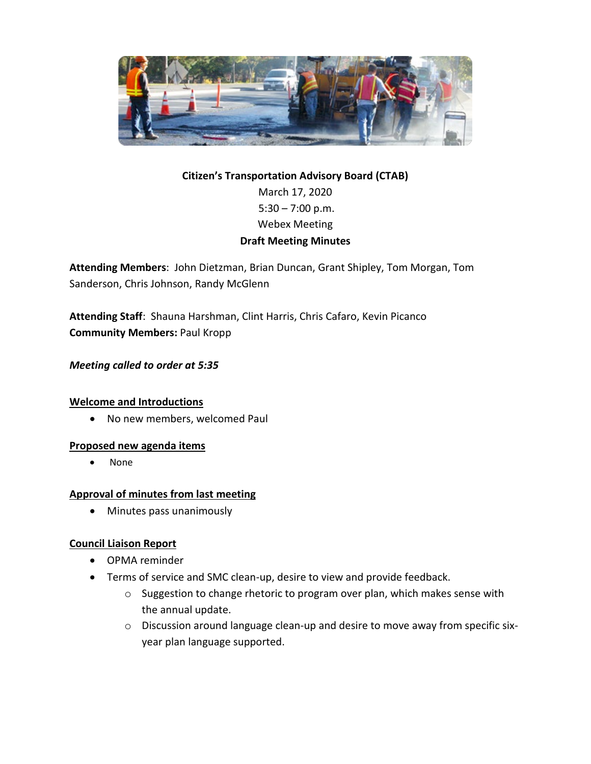

# **Citizen's Transportation Advisory Board (CTAB)** March 17, 2020  $5:30 - 7:00$  p.m. Webex Meeting **Draft Meeting Minutes**

**Attending Members**: John Dietzman, Brian Duncan, Grant Shipley, Tom Morgan, Tom Sanderson, Chris Johnson, Randy McGlenn

**Attending Staff**: Shauna Harshman, Clint Harris, Chris Cafaro, Kevin Picanco **Community Members:** Paul Kropp

## *Meeting called to order at 5:35*

#### **Welcome and Introductions**

• No new members, welcomed Paul

#### **Proposed new agenda items**

• None

#### **Approval of minutes from last meeting**

• Minutes pass unanimously

## **Council Liaison Report**

- OPMA reminder
- Terms of service and SMC clean-up, desire to view and provide feedback.
	- o Suggestion to change rhetoric to program over plan, which makes sense with the annual update.
	- o Discussion around language clean-up and desire to move away from specific sixyear plan language supported.